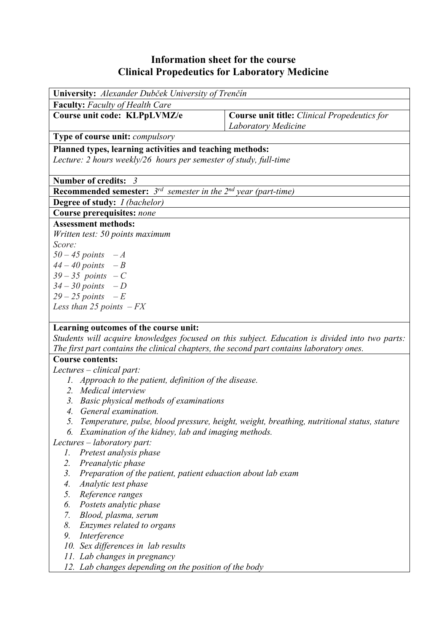## **Information sheet for the course Clinical Propedeutics for Laboratory Medicine**

| University: Alexander Dubček University of Trenčín                              |                                                            |  |  |  |  |
|---------------------------------------------------------------------------------|------------------------------------------------------------|--|--|--|--|
| <b>Faculty:</b> Faculty of Health Care                                          |                                                            |  |  |  |  |
| Course unit code: KLPpLVMZ/e                                                    | <b>Course unit title:</b> <i>Clinical Propedeutics for</i> |  |  |  |  |
|                                                                                 | <b>Laboratory Medicine</b>                                 |  |  |  |  |
| <b>Type of course unit:</b> <i>compulsory</i>                                   |                                                            |  |  |  |  |
| Planned types, learning activities and teaching methods:                        |                                                            |  |  |  |  |
| Lecture: 2 hours weekly/26 hours per semester of study, full-time               |                                                            |  |  |  |  |
|                                                                                 |                                                            |  |  |  |  |
| Number of credits: $3$                                                          |                                                            |  |  |  |  |
| <b>Recommended semester:</b> $3^{rd}$ semester in the $2^{nd}$ year (part-time) |                                                            |  |  |  |  |
| <b>Degree of study:</b> <i>I (bachelor)</i>                                     |                                                            |  |  |  |  |
| Course prerequisites: none                                                      |                                                            |  |  |  |  |
| <b>Assessment methods:</b>                                                      |                                                            |  |  |  |  |
| Written test: 50 points maximum                                                 |                                                            |  |  |  |  |
| Score:                                                                          |                                                            |  |  |  |  |
| $50 - 45$ points $-A$                                                           |                                                            |  |  |  |  |
| $44 - 40$ points $-B$                                                           |                                                            |  |  |  |  |
| $39 - 35$ points $-C$                                                           |                                                            |  |  |  |  |
| $34 - 30$ points $-D$                                                           |                                                            |  |  |  |  |
| $29-25$ points $-E$                                                             |                                                            |  |  |  |  |
| Less than 25 points $-FX$                                                       |                                                            |  |  |  |  |
|                                                                                 |                                                            |  |  |  |  |
| Learning outcomes of the course unit:                                           |                                                            |  |  |  |  |

*Students will acquire knowledges focused on this subject. Education is divided into two parts: The first part contains the clinical chapters, the second part contains laboratory ones.* 

## **Course contents:**

*Lectures – clinical part:* 

- *1. Approach to the patient, definition of the disease.*
- *2. Medical interview*
- *3. Basic physical methods of examinations*
- *4. General examination.*
- *5. Temperature, pulse, blood pressure, height, weight, breathing, nutritional status, stature*
- *6. Examination of the kidney, lab and imaging methods.*

*Lectures – laboratory part:*

- *1. Pretest analysis phase*
- *2. Preanalytic phase*
- *3. Preparation of the patient, patient eduaction about lab exam*
- *4. Analytic test phase*
- *5. Reference ranges*
- *6. Postets analytic phase*
- *7. Blood, plasma, serum*
- *8. Enzymes related to organs*
- *9. Interference*
- *10. Sex differences in lab results*
- *11. Lab changes in pregnancy*
- *12. Lab changes depending on the position of the body*